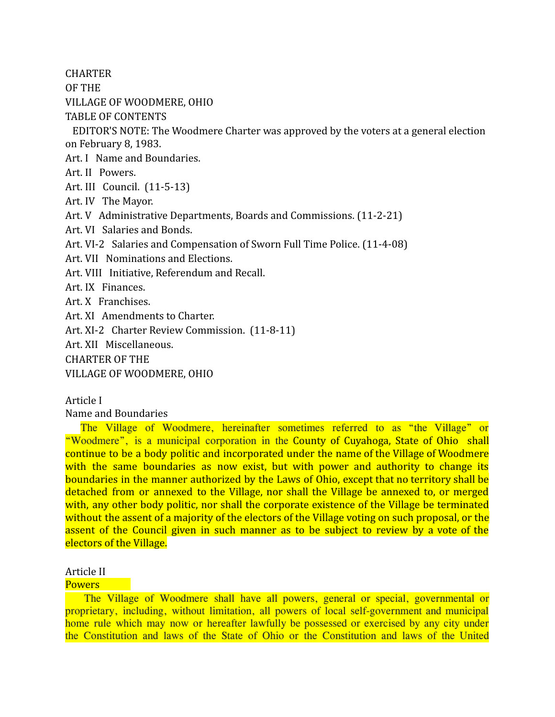**CHARTER** 

OF THE

VILLAGE OF WOODMERE, OHIO

TABLE OF CONTENTS

EDITOR'S NOTE: The Woodmere Charter was approved by the voters at a general election on February 8, 1983.

Art. I Name and Boundaries.

Art. II Powers.

Art. III Council. (11-5-13)

Art. IV The Mayor.

Art. V Administrative Departments, Boards and Commissions. (11-2-21)

Art. VI Salaries and Bonds.

Art. VI-2 Salaries and Compensation of Sworn Full Time Police. (11-4-08)

Art. VII Nominations and Elections.

Art. VIII Initiative, Referendum and Recall.

Art. IX Finances.

Art. X Franchises.

Art. XI Amendments to Charter.

Art. XI-2 Charter Review Commission. (11-8-11)

Art. XII Miscellaneous.

CHARTER OF THE

VILLAGE OF WOODMERE, OHIO

Article I

Name and Boundaries

The Village of Woodmere, hereinafter sometimes referred to as "the Village" or "Woodmere", is a municipal corporation in the County of Cuyahoga, State of Ohio shall continue to be a body politic and incorporated under the name of the Village of Woodmere with the same boundaries as now exist, but with power and authority to change its boundaries in the manner authorized by the Laws of Ohio, except that no territory shall be detached from or annexed to the Village, nor shall the Village be annexed to, or merged with, any other body politic, nor shall the corporate existence of the Village be terminated without the assent of a majority of the electors of the Village voting on such proposal, or the assent of the Council given in such manner as to be subject to review by a vote of the electors of the Village.

# Article II

# **Powers**

 The Village of Woodmere shall have all powers, general or special, governmental or proprietary, including, without limitation, all powers of local self-government and municipal home rule which may now or hereafter lawfully be possessed or exercised by any city under the Constitution and laws of the State of Ohio or the Constitution and laws of the United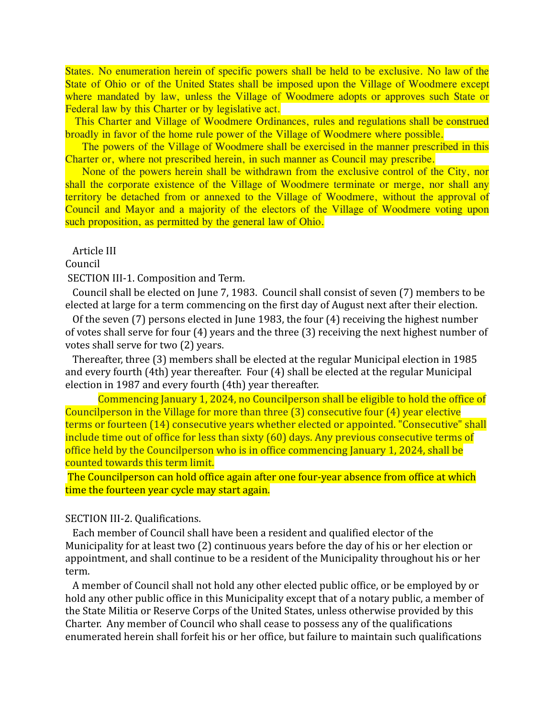States. No enumeration herein of specific powers shall be held to be exclusive. No law of the State of Ohio or of the United States shall be imposed upon the Village of Woodmere except where mandated by law, unless the Village of Woodmere adopts or approves such State or Federal law by this Charter or by legislative act.

 This Charter and Village of Woodmere Ordinances, rules and regulations shall be construed broadly in favor of the home rule power of the Village of Woodmere where possible.

 The powers of the Village of Woodmere shall be exercised in the manner prescribed in this Charter or, where not prescribed herein, in such manner as Council may prescribe.

 None of the powers herein shall be withdrawn from the exclusive control of the City, nor shall the corporate existence of the Village of Woodmere terminate or merge, nor shall any territory be detached from or annexed to the Village of Woodmere, without the approval of Council and Mayor and a majority of the electors of the Village of Woodmere voting upon such proposition, as permitted by the general law of Ohio.

Article III

Council

SECTION III-1. Composition and Term.

Council shall be elected on June 7, 1983. Council shall consist of seven (7) members to be elected at large for a term commencing on the first day of August next after their election.

Of the seven (7) persons elected in June 1983, the four (4) receiving the highest number of votes shall serve for four (4) years and the three (3) receiving the next highest number of votes shall serve for two (2) years.

Thereafter, three (3) members shall be elected at the regular Municipal election in 1985 and every fourth (4th) year thereafter. Four (4) shall be elected at the regular Municipal election in 1987 and every fourth (4th) year thereafter.

Commencing January 1, 2024, no Councilperson shall be eligible to hold the office of Councilperson in the Village for more than three (3) consecutive four (4) year elective terms or fourteen (14) consecutive years whether elected or appointed. "Consecutive" shall include time out of office for less than sixty (60) days. Any previous consecutive terms of office held by the Councilperson who is in office commencing January 1, 2024, shall be counted towards this term limit.

The Councilperson can hold office again after one four-year absence from office at which time the fourteen year cycle may start again.

### SECTION III-2. Qualifications.

Each member of Council shall have been a resident and qualified elector of the Municipality for at least two (2) continuous years before the day of his or her election or appointment, and shall continue to be a resident of the Municipality throughout his or her term.

A member of Council shall not hold any other elected public office, or be employed by or hold any other public office in this Municipality except that of a notary public, a member of the State Militia or Reserve Corps of the United States, unless otherwise provided by this Charter. Any member of Council who shall cease to possess any of the qualifications enumerated herein shall forfeit his or her office, but failure to maintain such qualifications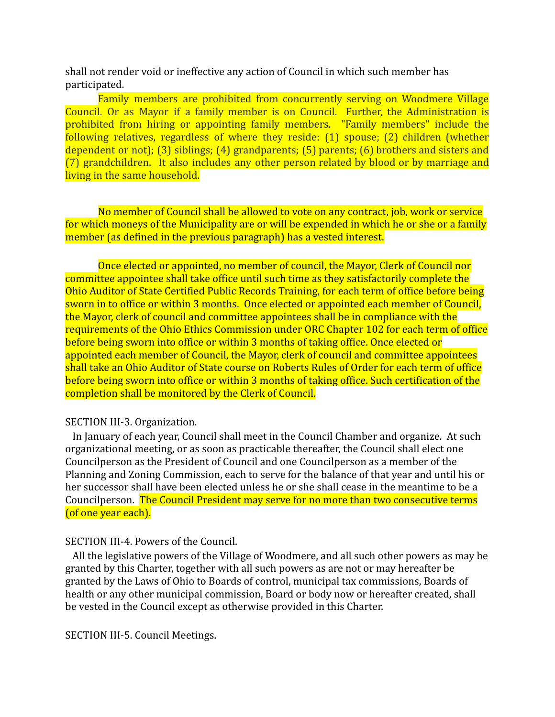shall not render void or ineffective any action of Council in which such member has participated.

Family members are prohibited from concurrently serving on Woodmere Village Council. Or as Mayor if a family member is on Council. Further, the Administration is prohibited from hiring or appointing family members. "Family members" include the following relatives, regardless of where they reside: (1) spouse; (2) children (whether dependent or not); (3) siblings; (4) grandparents; (5) parents; (6) brothers and sisters and (7) grandchildren. It also includes any other person related by blood or by marriage and living in the same household.

No member of Council shall be allowed to vote on any contract, job, work or service for which moneys of the Municipality are or will be expended in which he or she or a family member (as defined in the previous paragraph) has a vested interest.

Once elected or appointed, no member of council, the Mayor, Clerk of Council nor committee appointee shall take office until such time as they satisfactorily complete the Ohio Auditor of State Certified Public Records Training, for each term of office before being sworn in to office or within 3 months. Once elected or appointed each member of Council, the Mayor, clerk of council and committee appointees shall be in compliance with the requirements of the Ohio Ethics Commission under ORC Chapter 102 for each term of office before being sworn into office or within 3 months of taking office. Once elected or appointed each member of Council, the Mayor, clerk of council and committee appointees shall take an Ohio Auditor of State course on Roberts Rules of Order for each term of office before being sworn into office or within 3 months of taking office. Such certification of the completion shall be monitored by the Clerk of Council.

# SECTION III-3. Organization.

In January of each year, Council shall meet in the Council Chamber and organize. At such organizational meeting, or as soon as practicable thereafter, the Council shall elect one Councilperson as the President of Council and one Councilperson as a member of the Planning and Zoning Commission, each to serve for the balance of that year and until his or her successor shall have been elected unless he or she shall cease in the meantime to be a Councilperson. The Council President may serve for no more than two consecutive terms (of one year each).

### SECTION III-4. Powers of the Council.

All the legislative powers of the Village of Woodmere, and all such other powers as may be granted by this Charter, together with all such powers as are not or may hereafter be granted by the Laws of Ohio to Boards of control, municipal tax commissions, Boards of health or any other municipal commission, Board or body now or hereafter created, shall be vested in the Council except as otherwise provided in this Charter.

SECTION III-5. Council Meetings.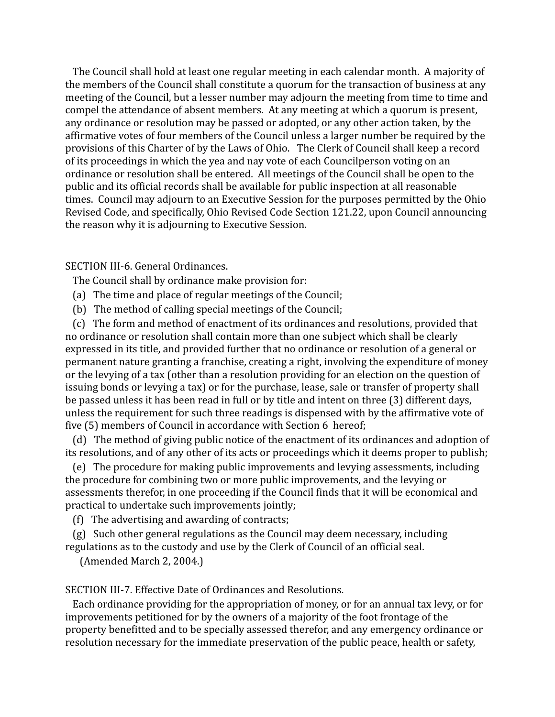The Council shall hold at least one regular meeting in each calendar month. A majority of the members of the Council shall constitute a quorum for the transaction of business at any meeting of the Council, but a lesser number may adjourn the meeting from time to time and compel the attendance of absent members. At any meeting at which a quorum is present, any ordinance or resolution may be passed or adopted, or any other action taken, by the affirmative votes of four members of the Council unless a larger number be required by the provisions of this Charter of by the Laws of Ohio. The Clerk of Council shall keep a record of its proceedings in which the yea and nay vote of each Councilperson voting on an ordinance or resolution shall be entered. All meetings of the Council shall be open to the public and its official records shall be available for public inspection at all reasonable times. Council may adjourn to an Executive Session for the purposes permitted by the Ohio Revised Code, and specifically, Ohio Revised Code Section 121.22, upon Council announcing the reason why it is adjourning to Executive Session.

## SECTION III-6. General Ordinances.

The Council shall by ordinance make provision for:

- (a) The time and place of regular meetings of the Council;
- (b) The method of calling special meetings of the Council;

(c) The form and method of enactment of its ordinances and resolutions, provided that no ordinance or resolution shall contain more than one subject which shall be clearly expressed in its title, and provided further that no ordinance or resolution of a general or permanent nature granting a franchise, creating a right, involving the expenditure of money or the levying of a tax (other than a resolution providing for an election on the question of issuing bonds or levying a tax) or for the purchase, lease, sale or transfer of property shall be passed unless it has been read in full or by title and intent on three (3) different days, unless the requirement for such three readings is dispensed with by the affirmative vote of five (5) members of Council in accordance with Section 6 hereof;

(d) The method of giving public notice of the enactment of its ordinances and adoption of its resolutions, and of any other of its acts or proceedings which it deems proper to publish;

(e) The procedure for making public improvements and levying assessments, including the procedure for combining two or more public improvements, and the levying or assessments therefor, in one proceeding if the Council finds that it will be economical and practical to undertake such improvements jointly;

(f) The advertising and awarding of contracts;

(g) Such other general regulations as the Council may deem necessary, including regulations as to the custody and use by the Clerk of Council of an official seal.

(Amended March 2, 2004.)

SECTION III-7. Effective Date of Ordinances and Resolutions.

Each ordinance providing for the appropriation of money, or for an annual tax levy, or for improvements petitioned for by the owners of a majority of the foot frontage of the property benefitted and to be specially assessed therefor, and any emergency ordinance or resolution necessary for the immediate preservation of the public peace, health or safety,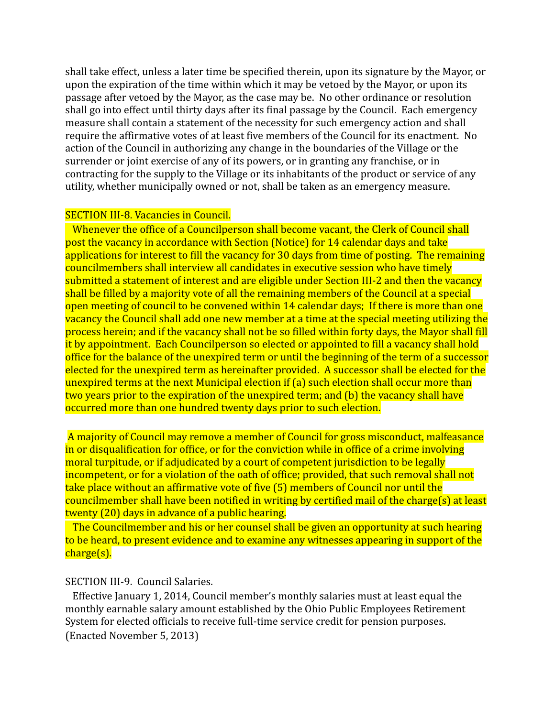shall take effect, unless a later time be specified therein, upon its signature by the Mayor, or upon the expiration of the time within which it may be vetoed by the Mayor, or upon its passage after vetoed by the Mayor, as the case may be. No other ordinance or resolution shall go into effect until thirty days after its final passage by the Council. Each emergency measure shall contain a statement of the necessity for such emergency action and shall require the affirmative votes of at least five members of the Council for its enactment. No action of the Council in authorizing any change in the boundaries of the Village or the surrender or joint exercise of any of its powers, or in granting any franchise, or in contracting for the supply to the Village or its inhabitants of the product or service of any utility, whether municipally owned or not, shall be taken as an emergency measure.

# SECTION III-8. Vacancies in Council.

Whenever the office of a Councilperson shall become vacant, the Clerk of Council shall post the vacancy in accordance with Section (Notice) for 14 calendar days and take applications for interest to fill the vacancy for 30 days from time of posting. The remaining councilmembers shall interview all candidates in executive session who have timely submitted a statement of interest and are eligible under Section III-2 and then the vacancy shall be filled by a majority vote of all the remaining members of the Council at a special open meeting of council to be convened within 14 calendar days; If there is more than one vacancy the Council shall add one new member at a time at the special meeting utilizing the process herein; and if the vacancy shall not be so filled within forty days, the Mayor shall fill it by appointment. Each Councilperson so elected or appointed to fill a vacancy shall hold office for the balance of the unexpired term or until the beginning of the term of a successor elected for the unexpired term as hereinafter provided. A successor shall be elected for the unexpired terms at the next Municipal election if (a) such election shall occur more than two years prior to the expiration of the unexpired term; and (b) the vacancy shall have occurred more than one hundred twenty days prior to such election.

A majority of Council may remove a member of Council for gross misconduct, malfeasance in or disqualification for office, or for the conviction while in office of a crime involving moral turpitude, or if adjudicated by a court of competent jurisdiction to be legally incompetent, or for a violation of the oath of office; provided, that such removal shall not take place without an affirmative vote of five (5) members of Council nor until the councilmember shall have been notified in writing by certified mail of the charge(s) at least twenty (20) days in advance of a public hearing.

The Councilmember and his or her counsel shall be given an opportunity at such hearing to be heard, to present evidence and to examine any witnesses appearing in support of the charge(s).

## SECTION III-9. Council Salaries.

Effective January 1, 2014, Council member's monthly salaries must at least equal the monthly earnable salary amount established by the Ohio Public Employees Retirement System for elected officials to receive full-time service credit for pension purposes. (Enacted November 5, 2013)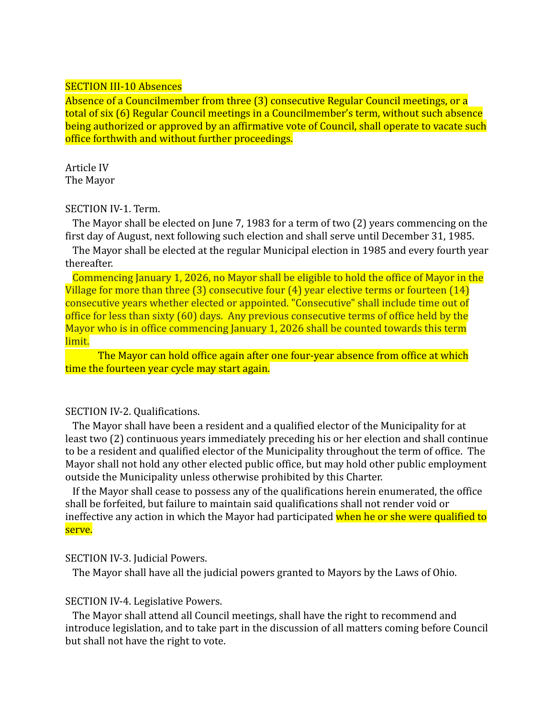# SECTION III-10 Absences

Absence of a Councilmember from three (3) consecutive Regular Council meetings, or a total of six (6) Regular Council meetings in a Councilmember's term, without such absence being authorized or approved by an affirmative vote of Council, shall operate to vacate such office forthwith and without further proceedings.

Article IV The Mayor

# SECTION IV-1. Term.

The Mayor shall be elected on June 7, 1983 for a term of two (2) years commencing on the first day of August, next following such election and shall serve until December 31, 1985.

The Mayor shall be elected at the regular Municipal election in 1985 and every fourth year thereafter.

Commencing January 1, 2026, no Mayor shall be eligible to hold the office of Mayor in the Village for more than three (3) consecutive four (4) year elective terms or fourteen (14) consecutive years whether elected or appointed. "Consecutive" shall include time out of office for less than sixty (60) days. Any previous consecutive terms of office held by the Mayor who is in office commencing January 1, 2026 shall be counted towards this term limit.

The Mayor can hold office again after one four-year absence from office at which time the fourteen year cycle may start again.

# SECTION IV-2. Qualifications.

The Mayor shall have been a resident and a qualified elector of the Municipality for at least two (2) continuous years immediately preceding his or her election and shall continue to be a resident and qualified elector of the Municipality throughout the term of office. The Mayor shall not hold any other elected public office, but may hold other public employment outside the Municipality unless otherwise prohibited by this Charter.

If the Mayor shall cease to possess any of the qualifications herein enumerated, the office shall be forfeited, but failure to maintain said qualifications shall not render void or ineffective any action in which the Mayor had participated when he or she were qualified to serve.

# SECTION IV-3. Judicial Powers.

The Mayor shall have all the judicial powers granted to Mayors by the Laws of Ohio.

# SECTION IV-4. Legislative Powers.

The Mayor shall attend all Council meetings, shall have the right to recommend and introduce legislation, and to take part in the discussion of all matters coming before Council but shall not have the right to vote.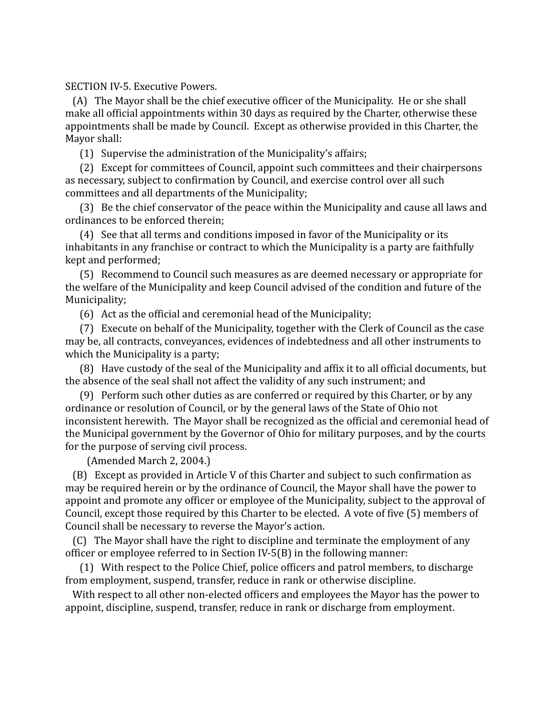SECTION IV-5. Executive Powers.

(A) The Mayor shall be the chief executive officer of the Municipality. He or she shall make all official appointments within 30 days as required by the Charter, otherwise these appointments shall be made by Council. Except as otherwise provided in this Charter, the Mayor shall:

(1) Supervise the administration of the Municipality's affairs;

(2) Except for committees of Council, appoint such committees and their chairpersons as necessary, subject to confirmation by Council, and exercise control over all such committees and all departments of the Municipality;

(3) Be the chief conservator of the peace within the Municipality and cause all laws and ordinances to be enforced therein;

(4) See that all terms and conditions imposed in favor of the Municipality or its inhabitants in any franchise or contract to which the Municipality is a party are faithfully kept and performed;

(5) Recommend to Council such measures as are deemed necessary or appropriate for the welfare of the Municipality and keep Council advised of the condition and future of the Municipality;

(6) Act as the official and ceremonial head of the Municipality;

(7) Execute on behalf of the Municipality, together with the Clerk of Council as the case may be, all contracts, conveyances, evidences of indebtedness and all other instruments to which the Municipality is a party;

(8) Have custody of the seal of the Municipality and affix it to all official documents, but the absence of the seal shall not affect the validity of any such instrument; and

(9) Perform such other duties as are conferred or required by this Charter, or by any ordinance or resolution of Council, or by the general laws of the State of Ohio not inconsistent herewith. The Mayor shall be recognized as the official and ceremonial head of the Municipal government by the Governor of Ohio for military purposes, and by the courts for the purpose of serving civil process.

(Amended March 2, 2004.)

(B) Except as provided in Article V of this Charter and subject to such confirmation as may be required herein or by the ordinance of Council, the Mayor shall have the power to appoint and promote any officer or employee of the Municipality, subject to the approval of Council, except those required by this Charter to be elected. A vote of five (5) members of Council shall be necessary to reverse the Mayor's action.

(C) The Mayor shall have the right to discipline and terminate the employment of any officer or employee referred to in Section IV-5(B) in the following manner:

(1) With respect to the Police Chief, police officers and patrol members, to discharge from employment, suspend, transfer, reduce in rank or otherwise discipline.

With respect to all other non-elected officers and employees the Mayor has the power to appoint, discipline, suspend, transfer, reduce in rank or discharge from employment.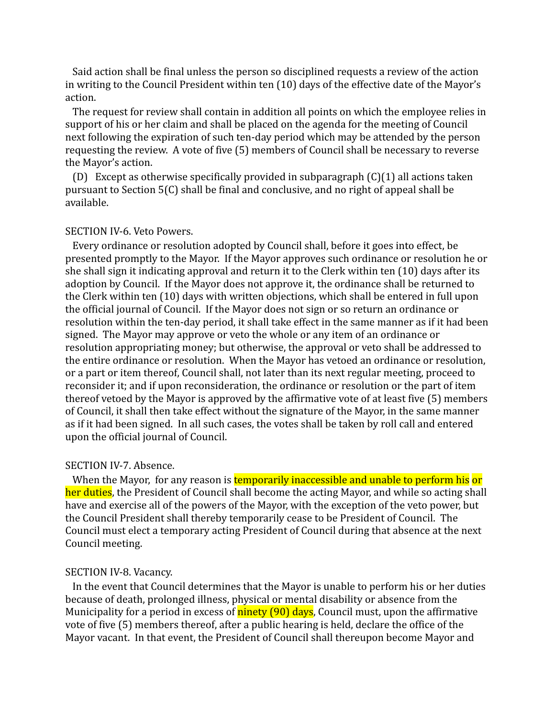Said action shall be final unless the person so disciplined requests a review of the action in writing to the Council President within ten (10) days of the effective date of the Mayor's action.

The request for review shall contain in addition all points on which the employee relies in support of his or her claim and shall be placed on the agenda for the meeting of Council next following the expiration of such ten-day period which may be attended by the person requesting the review. A vote of five (5) members of Council shall be necessary to reverse the Mayor's action.

(D) Except as otherwise specifically provided in subparagraph (C)(1) all actions taken pursuant to Section 5(C) shall be final and conclusive, and no right of appeal shall be available.

# SECTION IV-6. Veto Powers.

Every ordinance or resolution adopted by Council shall, before it goes into effect, be presented promptly to the Mayor. If the Mayor approves such ordinance or resolution he or she shall sign it indicating approval and return it to the Clerk within ten (10) days after its adoption by Council. If the Mayor does not approve it, the ordinance shall be returned to the Clerk within ten (10) days with written objections, which shall be entered in full upon the official journal of Council. If the Mayor does not sign or so return an ordinance or resolution within the ten-day period, it shall take effect in the same manner as if it had been signed. The Mayor may approve or veto the whole or any item of an ordinance or resolution appropriating money; but otherwise, the approval or veto shall be addressed to the entire ordinance or resolution. When the Mayor has vetoed an ordinance or resolution, or a part or item thereof, Council shall, not later than its next regular meeting, proceed to reconsider it; and if upon reconsideration, the ordinance or resolution or the part of item thereof vetoed by the Mayor is approved by the affirmative vote of at least five (5) members of Council, it shall then take effect without the signature of the Mayor, in the same manner as if it had been signed. In all such cases, the votes shall be taken by roll call and entered upon the official journal of Council.

#### SECTION IV-7. Absence.

When the Mayor, for any reason is **temporarily inaccessible and unable to perform his or** her duties, the President of Council shall become the acting Mayor, and while so acting shall have and exercise all of the powers of the Mayor, with the exception of the veto power, but the Council President shall thereby temporarily cease to be President of Council. The Council must elect a temporary acting President of Council during that absence at the next Council meeting.

#### SECTION IV-8. Vacancy.

In the event that Council determines that the Mayor is unable to perform his or her duties because of death, prolonged illness, physical or mental disability or absence from the Municipality for a period in excess of **ninety (90) days**, Council must, upon the affirmative vote of five (5) members thereof, after a public hearing is held, declare the office of the Mayor vacant. In that event, the President of Council shall thereupon become Mayor and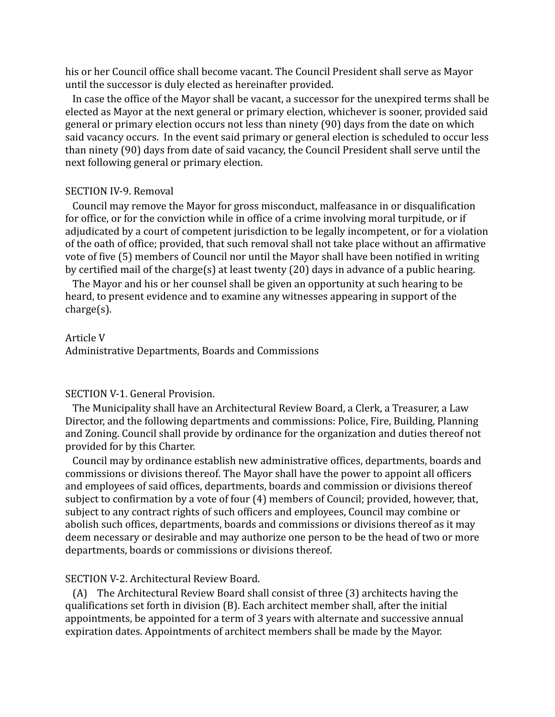his or her Council office shall become vacant. The Council President shall serve as Mayor until the successor is duly elected as hereinafter provided.

In case the office of the Mayor shall be vacant, a successor for the unexpired terms shall be elected as Mayor at the next general or primary election, whichever is sooner, provided said general or primary election occurs not less than ninety (90) days from the date on which said vacancy occurs. In the event said primary or general election is scheduled to occur less than ninety (90) days from date of said vacancy, the Council President shall serve until the next following general or primary election.

## SECTION IV-9. Removal

Council may remove the Mayor for gross misconduct, malfeasance in or disqualification for office, or for the conviction while in office of a crime involving moral turpitude, or if adjudicated by a court of competent jurisdiction to be legally incompetent, or for a violation of the oath of office; provided, that such removal shall not take place without an affirmative vote of five (5) members of Council nor until the Mayor shall have been notified in writing by certified mail of the charge(s) at least twenty (20) days in advance of a public hearing.

The Mayor and his or her counsel shall be given an opportunity at such hearing to be heard, to present evidence and to examine any witnesses appearing in support of the charge(s).

#### Article V

Administrative Departments, Boards and Commissions

# SECTION V-1. General Provision.

The Municipality shall have an Architectural Review Board, a Clerk, a Treasurer, a Law Director, and the following departments and commissions: Police, Fire, Building, Planning and Zoning. Council shall provide by ordinance for the organization and duties thereof not provided for by this Charter.

Council may by ordinance establish new administrative offices, departments, boards and commissions or divisions thereof. The Mayor shall have the power to appoint all officers and employees of said offices, departments, boards and commission or divisions thereof subject to confirmation by a vote of four (4) members of Council; provided, however, that, subject to any contract rights of such officers and employees, Council may combine or abolish such offices, departments, boards and commissions or divisions thereof as it may deem necessary or desirable and may authorize one person to be the head of two or more departments, boards or commissions or divisions thereof.

## SECTION V-2. Architectural Review Board.

(A) The Architectural Review Board shall consist of three (3) architects having the qualifications set forth in division (B). Each architect member shall, after the initial appointments, be appointed for a term of 3 years with alternate and successive annual expiration dates. Appointments of architect members shall be made by the Mayor.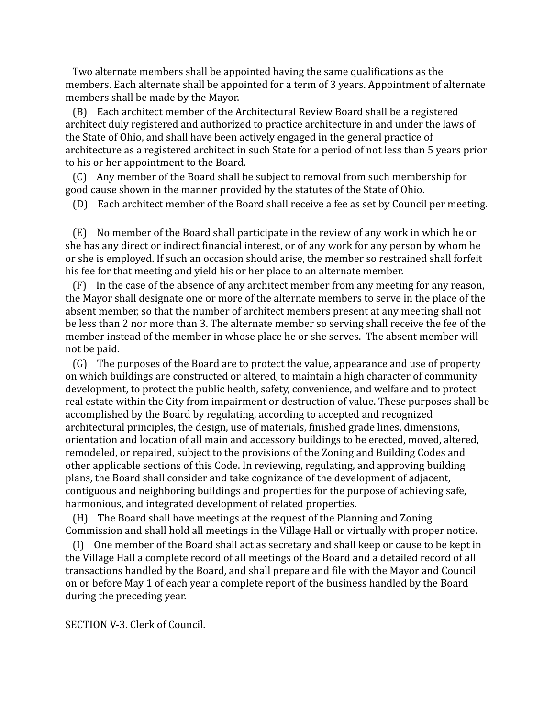Two alternate members shall be appointed having the same qualifications as the members. Each alternate shall be appointed for a term of 3 years. Appointment of alternate members shall be made by the Mayor.

(B) Each architect member of the Architectural Review Board shall be a registered architect duly registered and authorized to practice architecture in and under the laws of the State of Ohio, and shall have been actively engaged in the general practice of architecture as a registered architect in such State for a period of not less than 5 years prior to his or her appointment to the Board.

(C) Any member of the Board shall be subject to removal from such membership for good cause shown in the manner provided by the statutes of the State of Ohio.

(D) Each architect member of the Board shall receive a fee as set by Council per meeting.

(E) No member of the Board shall participate in the review of any work in which he or she has any direct or indirect financial interest, or of any work for any person by whom he or she is employed. If such an occasion should arise, the member so restrained shall forfeit his fee for that meeting and yield his or her place to an alternate member.

(F) In the case of the absence of any architect member from any meeting for any reason, the Mayor shall designate one or more of the alternate members to serve in the place of the absent member, so that the number of architect members present at any meeting shall not be less than 2 nor more than 3. The alternate member so serving shall receive the fee of the member instead of the member in whose place he or she serves. The absent member will not be paid.

(G) The purposes of the Board are to protect the value, appearance and use of property on which buildings are constructed or altered, to maintain a high character of community development, to protect the public health, safety, convenience, and welfare and to protect real estate within the City from impairment or destruction of value. These purposes shall be accomplished by the Board by regulating, according to accepted and recognized architectural principles, the design, use of materials, finished grade lines, dimensions, orientation and location of all main and accessory buildings to be erected, moved, altered, remodeled, or repaired, subject to the provisions of the Zoning and Building Codes and other applicable sections of this Code. In reviewing, regulating, and approving building plans, the Board shall consider and take cognizance of the development of adjacent, contiguous and neighboring buildings and properties for the purpose of achieving safe, harmonious, and integrated development of related properties.

(H) The Board shall have meetings at the request of the Planning and Zoning Commission and shall hold all meetings in the Village Hall or virtually with proper notice.

(I) One member of the Board shall act as secretary and shall keep or cause to be kept in the Village Hall a complete record of all meetings of the Board and a detailed record of all transactions handled by the Board, and shall prepare and file with the Mayor and Council on or before May 1 of each year a complete report of the business handled by the Board during the preceding year.

SECTION V-3. Clerk of Council.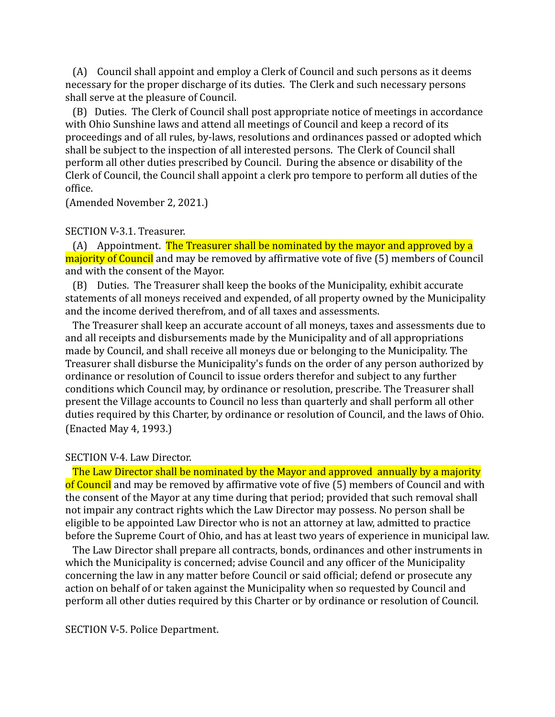(A) Council shall appoint and employ a Clerk of Council and such persons as it deems necessary for the proper discharge of its duties. The Clerk and such necessary persons shall serve at the pleasure of Council.

(B) Duties. The Clerk of Council shall post appropriate notice of meetings in accordance with Ohio Sunshine laws and attend all meetings of Council and keep a record of its proceedings and of all rules, by-laws, resolutions and ordinances passed or adopted which shall be subject to the inspection of all interested persons. The Clerk of Council shall perform all other duties prescribed by Council. During the absence or disability of the Clerk of Council, the Council shall appoint a clerk pro tempore to perform all duties of the office.

(Amended November 2, 2021.)

## SECTION V-3.1. Treasurer.

(A) Appointment. The Treasurer shall be nominated by the mayor and approved by a majority of Council and may be removed by affirmative vote of five (5) members of Council and with the consent of the Mayor.

(B) Duties. The Treasurer shall keep the books of the Municipality, exhibit accurate statements of all moneys received and expended, of all property owned by the Municipality and the income derived therefrom, and of all taxes and assessments.

The Treasurer shall keep an accurate account of all moneys, taxes and assessments due to and all receipts and disbursements made by the Municipality and of all appropriations made by Council, and shall receive all moneys due or belonging to the Municipality. The Treasurer shall disburse the Municipality's funds on the order of any person authorized by ordinance or resolution of Council to issue orders therefor and subject to any further conditions which Council may, by ordinance or resolution, prescribe. The Treasurer shall present the Village accounts to Council no less than quarterly and shall perform all other duties required by this Charter, by ordinance or resolution of Council, and the laws of Ohio. (Enacted May 4, 1993.)

# SECTION V-4. Law Director.

The Law Director shall be nominated by the Mayor and approved annually by a majority of Council and may be removed by affirmative vote of five (5) members of Council and with the consent of the Mayor at any time during that period; provided that such removal shall not impair any contract rights which the Law Director may possess. No person shall be eligible to be appointed Law Director who is not an attorney at law, admitted to practice before the Supreme Court of Ohio, and has at least two years of experience in municipal law.

The Law Director shall prepare all contracts, bonds, ordinances and other instruments in which the Municipality is concerned; advise Council and any officer of the Municipality concerning the law in any matter before Council or said official; defend or prosecute any action on behalf of or taken against the Municipality when so requested by Council and perform all other duties required by this Charter or by ordinance or resolution of Council.

SECTION V-5. Police Department.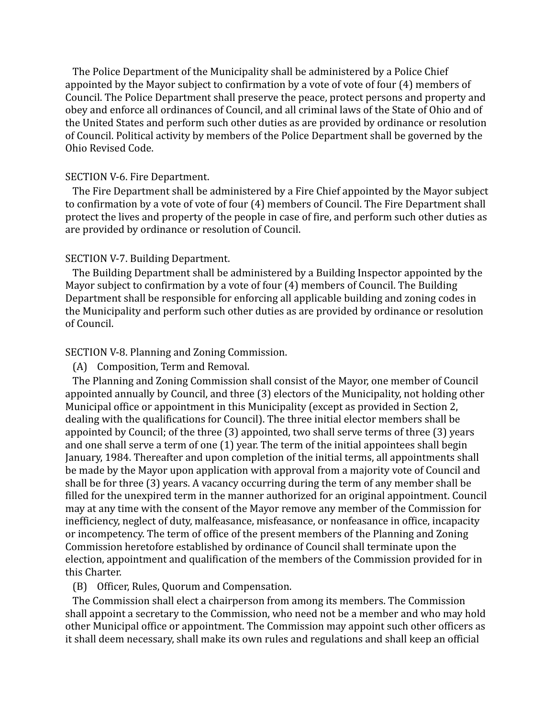The Police Department of the Municipality shall be administered by a Police Chief appointed by the Mayor subject to confirmation by a vote of vote of four (4) members of Council. The Police Department shall preserve the peace, protect persons and property and obey and enforce all ordinances of Council, and all criminal laws of the State of Ohio and of the United States and perform such other duties as are provided by ordinance or resolution of Council. Political activity by members of the Police Department shall be governed by the Ohio Revised Code.

## SECTION V-6. Fire Department.

The Fire Department shall be administered by a Fire Chief appointed by the Mayor subject to confirmation by a vote of vote of four (4) members of Council. The Fire Department shall protect the lives and property of the people in case of fire, and perform such other duties as are provided by ordinance or resolution of Council.

## SECTION V-7. Building Department.

The Building Department shall be administered by a Building Inspector appointed by the Mayor subject to confirmation by a vote of four (4) members of Council. The Building Department shall be responsible for enforcing all applicable building and zoning codes in the Municipality and perform such other duties as are provided by ordinance or resolution of Council.

### SECTION V-8. Planning and Zoning Commission.

(A) Composition, Term and Removal.

The Planning and Zoning Commission shall consist of the Mayor, one member of Council appointed annually by Council, and three (3) electors of the Municipality, not holding other Municipal office or appointment in this Municipality (except as provided in Section 2, dealing with the qualifications for Council). The three initial elector members shall be appointed by Council; of the three (3) appointed, two shall serve terms of three (3) years and one shall serve a term of one (1) year. The term of the initial appointees shall begin January, 1984. Thereafter and upon completion of the initial terms, all appointments shall be made by the Mayor upon application with approval from a majority vote of Council and shall be for three (3) years. A vacancy occurring during the term of any member shall be filled for the unexpired term in the manner authorized for an original appointment. Council may at any time with the consent of the Mayor remove any member of the Commission for inefficiency, neglect of duty, malfeasance, misfeasance, or nonfeasance in office, incapacity or incompetency. The term of office of the present members of the Planning and Zoning Commission heretofore established by ordinance of Council shall terminate upon the election, appointment and qualification of the members of the Commission provided for in this Charter.

(B) Officer, Rules, Quorum and Compensation.

The Commission shall elect a chairperson from among its members. The Commission shall appoint a secretary to the Commission, who need not be a member and who may hold other Municipal office or appointment. The Commission may appoint such other officers as it shall deem necessary, shall make its own rules and regulations and shall keep an official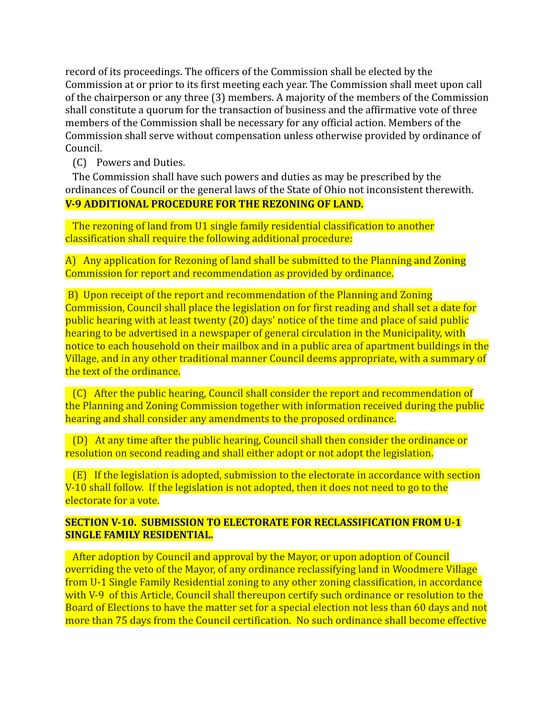record of its proceedings. The officers of the Commission shall be elected by the Commission at or prior to its first meeting each year. The Commission shall meet upon call of the chairperson or any three (3) members. A majority of the members of the Commission shall constitute a quorum for the transaction of business and the affirmative vote of three members of the Commission shall be necessary for any official action. Members of the Commission shall serve without compensation unless otherwise provided by ordinance of Council.

(C) Powers and Duties.

The Commission shall have such powers and duties as may be prescribed by the ordinances of Council or the general laws of the State of Ohio not inconsistent therewith. **V-9 ADDITIONAL PROCEDURE FOR THE REZONING OF LAND.**

The rezoning of land from U1 single family residential classification to another classification shall require the following additional procedure:

A) Any application for Rezoning of land shall be submitted to the Planning and Zoning Commission for report and recommendation as provided by ordinance.

B) Upon receipt of the report and recommendation of the Planning and Zoning Commission, Council shall place the legislation on for first reading and shall set a date for public hearing with at least twenty (20) days' notice of the time and place of said public hearing to be advertised in a newspaper of general circulation in the Municipality, with notice to each household on their mailbox and in a public area of apartment buildings in the Village, and in any other traditional manner Council deems appropriate, with a summary of the text of the ordinance.

(C) After the public hearing, Council shall consider the report and recommendation of the Planning and Zoning Commission together with information received during the public hearing and shall consider any amendments to the proposed ordinance.

(D) At any time after the public hearing, Council shall then consider the ordinance or resolution on second reading and shall either adopt or not adopt the legislation.

(E) If the legislation is adopted, submission to the electorate in accordance with section V-10 shall follow. If the legislation is not adopted, then it does not need to go to the electorate for a vote.

# **SECTION V-10. SUBMISSION TO ELECTORATE FOR RECLASSIFICATION FROM U-1 SINGLE FAMILY RESIDENTIAL.**

After adoption by Council and approval by the Mayor, or upon adoption of Council overriding the veto of the Mayor, of any ordinance reclassifying land in Woodmere Village from U-1 Single Family Residential zoning to any other zoning classification, in accordance with V-9 of this Article, Council shall thereupon certify such ordinance or resolution to the Board of Elections to have the matter set for a special election not less than 60 days and not more than 75 days from the Council certification. No such ordinance shall become effective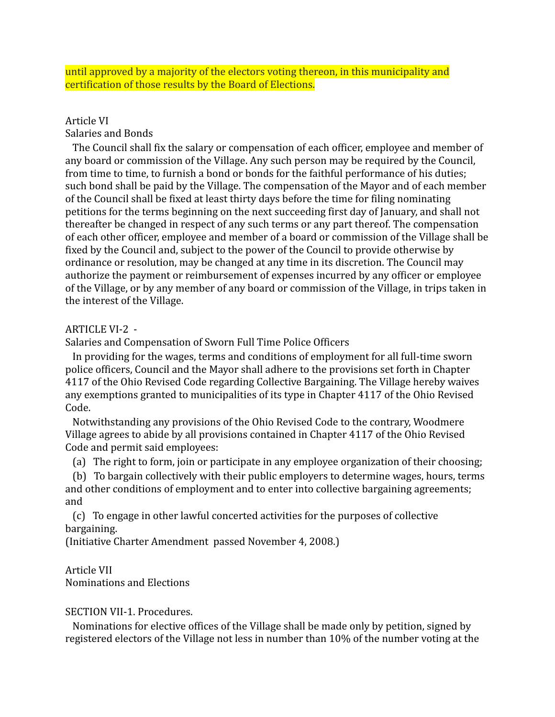until approved by a majority of the electors voting thereon, in this municipality and certification of those results by the Board of Elections.

# Article VI

Salaries and Bonds

The Council shall fix the salary or compensation of each officer, employee and member of any board or commission of the Village. Any such person may be required by the Council, from time to time, to furnish a bond or bonds for the faithful performance of his duties; such bond shall be paid by the Village. The compensation of the Mayor and of each member of the Council shall be fixed at least thirty days before the time for filing nominating petitions for the terms beginning on the next succeeding first day of January, and shall not thereafter be changed in respect of any such terms or any part thereof. The compensation of each other officer, employee and member of a board or commission of the Village shall be fixed by the Council and, subject to the power of the Council to provide otherwise by ordinance or resolution, may be changed at any time in its discretion. The Council may authorize the payment or reimbursement of expenses incurred by any officer or employee of the Village, or by any member of any board or commission of the Village, in trips taken in the interest of the Village.

# ARTICLE VI-2 -

Salaries and Compensation of Sworn Full Time Police Officers

In providing for the wages, terms and conditions of employment for all full-time sworn police officers, Council and the Mayor shall adhere to the provisions set forth in Chapter 4117 of the Ohio Revised Code regarding Collective Bargaining. The Village hereby waives any exemptions granted to municipalities of its type in Chapter 4117 of the Ohio Revised Code.

Notwithstanding any provisions of the Ohio Revised Code to the contrary, Woodmere Village agrees to abide by all provisions contained in Chapter 4117 of the Ohio Revised Code and permit said employees:

(a) The right to form, join or participate in any employee organization of their choosing;

(b) To bargain collectively with their public employers to determine wages, hours, terms and other conditions of employment and to enter into collective bargaining agreements; and

(c) To engage in other lawful concerted activities for the purposes of collective bargaining.

(Initiative Charter Amendment passed November 4, 2008.)

# Article VII

Nominations and Elections

# SECTION VII-1. Procedures.

Nominations for elective offices of the Village shall be made only by petition, signed by registered electors of the Village not less in number than 10% of the number voting at the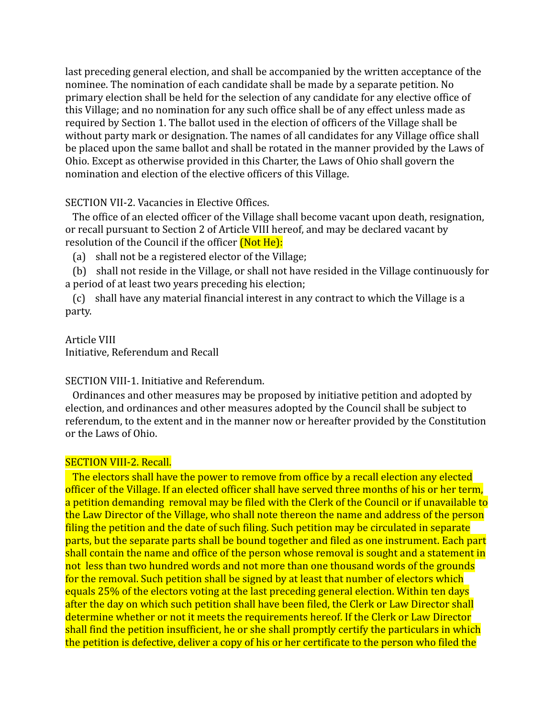last preceding general election, and shall be accompanied by the written acceptance of the nominee. The nomination of each candidate shall be made by a separate petition. No primary election shall be held for the selection of any candidate for any elective office of this Village; and no nomination for any such office shall be of any effect unless made as required by Section 1. The ballot used in the election of officers of the Village shall be without party mark or designation. The names of all candidates for any Village office shall be placed upon the same ballot and shall be rotated in the manner provided by the Laws of Ohio. Except as otherwise provided in this Charter, the Laws of Ohio shall govern the nomination and election of the elective officers of this Village.

SECTION VII-2. Vacancies in Elective Offices.

The office of an elected officer of the Village shall become vacant upon death, resignation, or recall pursuant to Section 2 of Article VIII hereof, and may be declared vacant by resolution of the Council if the officer *(Not He):* 

(a) shall not be a registered elector of the Village;

(b) shall not reside in the Village, or shall not have resided in the Village continuously for a period of at least two years preceding his election;

(c) shall have any material financial interest in any contract to which the Village is a party.

# Article VIII

Initiative, Referendum and Recall

# SECTION VIII-1. Initiative and Referendum.

Ordinances and other measures may be proposed by initiative petition and adopted by election, and ordinances and other measures adopted by the Council shall be subject to referendum, to the extent and in the manner now or hereafter provided by the Constitution or the Laws of Ohio.

# SECTION VIII-2. Recall.

The electors shall have the power to remove from office by a recall election any elected officer of the Village. If an elected officer shall have served three months of his or her term, a petition demanding removal may be filed with the Clerk of the Council or if unavailable to the Law Director of the Village, who shall note thereon the name and address of the person filing the petition and the date of such filing. Such petition may be circulated in separate parts, but the separate parts shall be bound together and filed as one instrument. Each part shall contain the name and office of the person whose removal is sought and a statement in not less than two hundred words and not more than one thousand words of the grounds for the removal. Such petition shall be signed by at least that number of electors which equals 25% of the electors voting at the last preceding general election. Within ten days after the day on which such petition shall have been filed, the Clerk or Law Director shall determine whether or not it meets the requirements hereof. If the Clerk or Law Director shall find the petition insufficient, he or she shall promptly certify the particulars in which the petition is defective, deliver a copy of his or her certificate to the person who filed the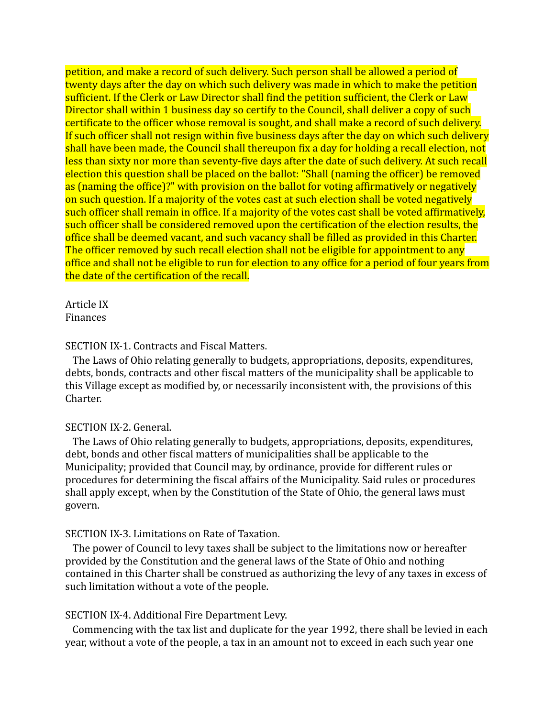petition, and make a record of such delivery. Such person shall be allowed a period of twenty days after the day on which such delivery was made in which to make the petition sufficient. If the Clerk or Law Director shall find the petition sufficient, the Clerk or Law Director shall within 1 business day so certify to the Council, shall deliver a copy of such certificate to the officer whose removal is sought, and shall make a record of such delivery. If such officer shall not resign within five business days after the day on which such delivery shall have been made, the Council shall thereupon fix a day for holding a recall election, not less than sixty nor more than seventy-five days after the date of such delivery. At such recall election this question shall be placed on the ballot: "Shall (naming the officer) be removed as (naming the office)?" with provision on the ballot for voting affirmatively or negatively on such question. If a majority of the votes cast at such election shall be voted negatively such officer shall remain in office. If a majority of the votes cast shall be voted affirmatively, such officer shall be considered removed upon the certification of the election results, the office shall be deemed vacant, and such vacancy shall be filled as provided in this Charter. The officer removed by such recall election shall not be eligible for appointment to any office and shall not be eligible to run for election to any office for a period of four years from the date of the certification of the recall.

Article IX Finances

## SECTION IX-1. Contracts and Fiscal Matters.

The Laws of Ohio relating generally to budgets, appropriations, deposits, expenditures, debts, bonds, contracts and other fiscal matters of the municipality shall be applicable to this Village except as modified by, or necessarily inconsistent with, the provisions of this Charter.

### SECTION IX-2. General.

The Laws of Ohio relating generally to budgets, appropriations, deposits, expenditures, debt, bonds and other fiscal matters of municipalities shall be applicable to the Municipality; provided that Council may, by ordinance, provide for different rules or procedures for determining the fiscal affairs of the Municipality. Said rules or procedures shall apply except, when by the Constitution of the State of Ohio, the general laws must govern.

# SECTION IX-3. Limitations on Rate of Taxation.

The power of Council to levy taxes shall be subject to the limitations now or hereafter provided by the Constitution and the general laws of the State of Ohio and nothing contained in this Charter shall be construed as authorizing the levy of any taxes in excess of such limitation without a vote of the people.

## SECTION IX-4. Additional Fire Department Levy.

Commencing with the tax list and duplicate for the year 1992, there shall be levied in each year, without a vote of the people, a tax in an amount not to exceed in each such year one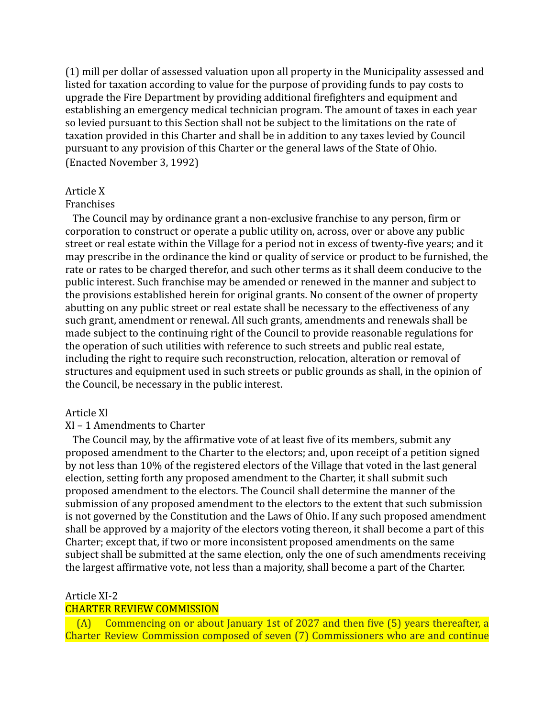(1) mill per dollar of assessed valuation upon all property in the Municipality assessed and listed for taxation according to value for the purpose of providing funds to pay costs to upgrade the Fire Department by providing additional firefighters and equipment and establishing an emergency medical technician program. The amount of taxes in each year so levied pursuant to this Section shall not be subject to the limitations on the rate of taxation provided in this Charter and shall be in addition to any taxes levied by Council pursuant to any provision of this Charter or the general laws of the State of Ohio. (Enacted November 3, 1992)

### Article X

#### Franchises

The Council may by ordinance grant a non-exclusive franchise to any person, firm or corporation to construct or operate a public utility on, across, over or above any public street or real estate within the Village for a period not in excess of twenty-five years; and it may prescribe in the ordinance the kind or quality of service or product to be furnished, the rate or rates to be charged therefor, and such other terms as it shall deem conducive to the public interest. Such franchise may be amended or renewed in the manner and subject to the provisions established herein for original grants. No consent of the owner of property abutting on any public street or real estate shall be necessary to the effectiveness of any such grant, amendment or renewal. All such grants, amendments and renewals shall be made subject to the continuing right of the Council to provide reasonable regulations for the operation of such utilities with reference to such streets and public real estate, including the right to require such reconstruction, relocation, alteration or removal of structures and equipment used in such streets or public grounds as shall, in the opinion of the Council, be necessary in the public interest.

### Article Xl

## XI – 1 Amendments to Charter

The Council may, by the affirmative vote of at least five of its members, submit any proposed amendment to the Charter to the electors; and, upon receipt of a petition signed by not less than 10% of the registered electors of the Village that voted in the last general election, setting forth any proposed amendment to the Charter, it shall submit such proposed amendment to the electors. The Council shall determine the manner of the submission of any proposed amendment to the electors to the extent that such submission is not governed by the Constitution and the Laws of Ohio. If any such proposed amendment shall be approved by a majority of the electors voting thereon, it shall become a part of this Charter; except that, if two or more inconsistent proposed amendments on the same subject shall be submitted at the same election, only the one of such amendments receiving the largest affirmative vote, not less than a majority, shall become a part of the Charter.

## Article XI-2

# CHARTER REVIEW COMMISSION

(A) Commencing on or about January 1st of 2027 and then five (5) years thereafter, a Charter Review Commission composed of seven (7) Commissioners who are and continue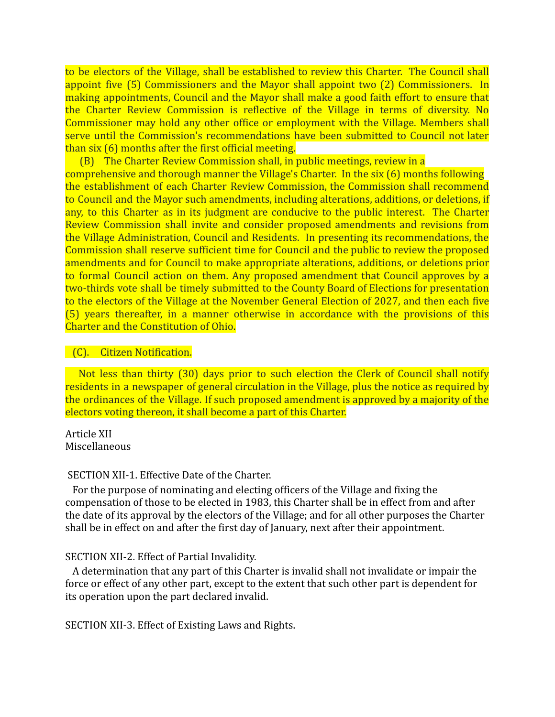to be electors of the Village, shall be established to review this Charter. The Council shall appoint five (5) Commissioners and the Mayor shall appoint two (2) Commissioners. In making appointments, Council and the Mayor shall make a good faith effort to ensure that the Charter Review Commission is reflective of the Village in terms of diversity. No Commissioner may hold any other office or employment with the Village. Members shall serve until the Commission's recommendations have been submitted to Council not later than six (6) months after the first official meeting.

(B) The Charter Review Commission shall, in public meetings, review in a comprehensive and thorough manner the Village's Charter. In the six (6) months following the establishment of each Charter Review Commission, the Commission shall recommend to Council and the Mayor such amendments, including alterations, additions, or deletions, if any, to this Charter as in its judgment are conducive to the public interest. The Charter Review Commission shall invite and consider proposed amendments and revisions from the Village Administration, Council and Residents. In presenting its recommendations, the Commission shall reserve sufficient time for Council and the public to review the proposed amendments and for Council to make appropriate alterations, additions, or deletions prior to formal Council action on them. Any proposed amendment that Council approves by a two-thirds vote shall be timely submitted to the County Board of Elections for presentation to the electors of the Village at the November General Election of 2027, and then each five (5) years thereafter, in a manner otherwise in accordance with the provisions of this Charter and the Constitution of Ohio.

# (C). Citizen Notification.

Not less than thirty (30) days prior to such election the Clerk of Council shall notify residents in a newspaper of general circulation in the Village, plus the notice as required by the ordinances of the Village. If such proposed amendment is approved by a majority of the electors voting thereon, it shall become a part of this Charter.

Article XII Miscellaneous

# SECTION XII-1. Effective Date of the Charter.

For the purpose of nominating and electing officers of the Village and fixing the compensation of those to be elected in 1983, this Charter shall be in effect from and after the date of its approval by the electors of the Village; and for all other purposes the Charter shall be in effect on and after the first day of January, next after their appointment.

# SECTION XII-2. Effect of Partial Invalidity.

A determination that any part of this Charter is invalid shall not invalidate or impair the force or effect of any other part, except to the extent that such other part is dependent for its operation upon the part declared invalid.

SECTION XII-3. Effect of Existing Laws and Rights.